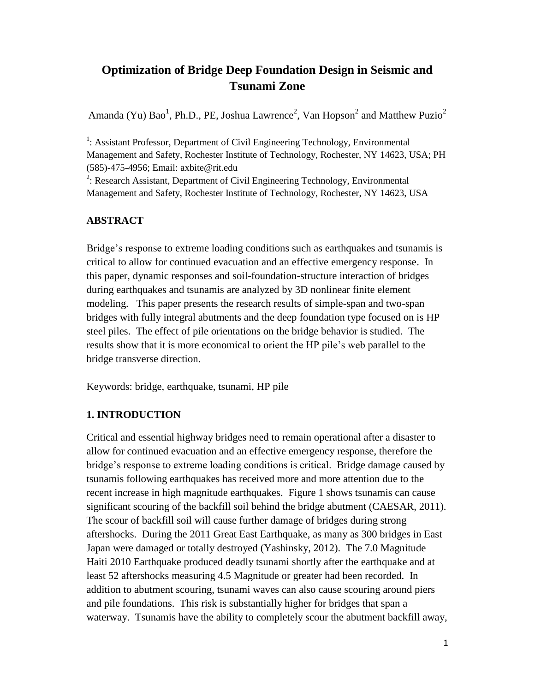# **Optimization of Bridge Deep Foundation Design in Seismic and Tsunami Zone**

Amanda (Yu) Bao<sup>1</sup>, Ph.D., PE, Joshua Lawrence<sup>2</sup>, Van Hopson<sup>2</sup> and Matthew Puzio<sup>2</sup>

<sup>1</sup>: Assistant Professor, Department of Civil Engineering Technology, Environmental Management and Safety, Rochester Institute of Technology, Rochester, NY 14623, USA; PH (585)-475-4956; Email: axbite@rit.edu

 $2$ : Research Assistant, Department of Civil Engineering Technology, Environmental Management and Safety, Rochester Institute of Technology, Rochester, NY 14623, USA

#### **ABSTRACT**

Bridge's response to extreme loading conditions such as earthquakes and tsunamis is critical to allow for continued evacuation and an effective emergency response. In this paper, dynamic responses and soil-foundation-structure interaction of bridges during earthquakes and tsunamis are analyzed by 3D nonlinear finite element modeling. This paper presents the research results of simple-span and two-span bridges with fully integral abutments and the deep foundation type focused on is HP steel piles. The effect of pile orientations on the bridge behavior is studied. The results show that it is more economical to orient the HP pile's web parallel to the bridge transverse direction.

Keywords: bridge, earthquake, tsunami, HP pile

#### **1. INTRODUCTION**

Critical and essential highway bridges need to remain operational after a disaster to allow for continued evacuation and an effective emergency response, therefore the bridge's response to extreme loading conditions is critical. Bridge damage caused by tsunamis following earthquakes has received more and more attention due to the recent increase in high magnitude earthquakes. Figure 1 shows tsunamis can cause significant scouring of the backfill soil behind the bridge abutment (CAESAR, 2011). The scour of backfill soil will cause further damage of bridges during strong aftershocks. During the 2011 Great East Earthquake, as many as 300 bridges in East Japan were damaged or totally destroyed (Yashinsky, 2012). The 7.0 Magnitude Haiti 2010 Earthquake produced deadly tsunami shortly after the earthquake and at least 52 aftershocks measuring 4.5 Magnitude or greater had been recorded. In addition to abutment scouring, tsunami waves can also cause scouring around piers and pile foundations. This risk is substantially higher for bridges that span a waterway. Tsunamis have the ability to completely scour the abutment backfill away,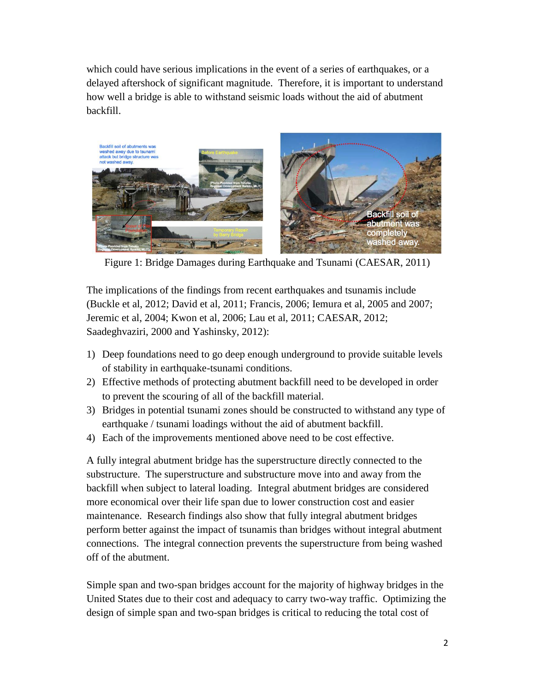which could have serious implications in the event of a series of earthquakes, or a delayed aftershock of significant magnitude. Therefore, it is important to understand how well a bridge is able to withstand seismic loads without the aid of abutment backfill.



Figure 1: Bridge Damages during Earthquake and Tsunami (CAESAR, 2011)

The implications of the findings from recent earthquakes and tsunamis include (Buckle et al, 2012; David et al, 2011; Francis, 2006; Iemura et al, 2005 and 2007; Jeremic et al, 2004; Kwon et al, 2006; Lau et al, 2011; CAESAR, 2012; Saadeghvaziri, 2000 and Yashinsky, 2012):

- 1) Deep foundations need to go deep enough underground to provide suitable levels of stability in earthquake-tsunami conditions.
- 2) Effective methods of protecting abutment backfill need to be developed in order to prevent the scouring of all of the backfill material.
- 3) Bridges in potential tsunami zones should be constructed to withstand any type of earthquake / tsunami loadings without the aid of abutment backfill.
- 4) Each of the improvements mentioned above need to be cost effective.

A fully integral abutment bridge has the superstructure directly connected to the substructure. The superstructure and substructure move into and away from the backfill when subject to lateral loading. Integral abutment bridges are considered more economical over their life span due to lower construction cost and easier maintenance. Research findings also show that fully integral abutment bridges perform better against the impact of tsunamis than bridges without integral abutment connections. The integral connection prevents the superstructure from being washed off of the abutment.

Simple span and two-span bridges account for the majority of highway bridges in the United States due to their cost and adequacy to carry two-way traffic. Optimizing the design of simple span and two-span bridges is critical to reducing the total cost of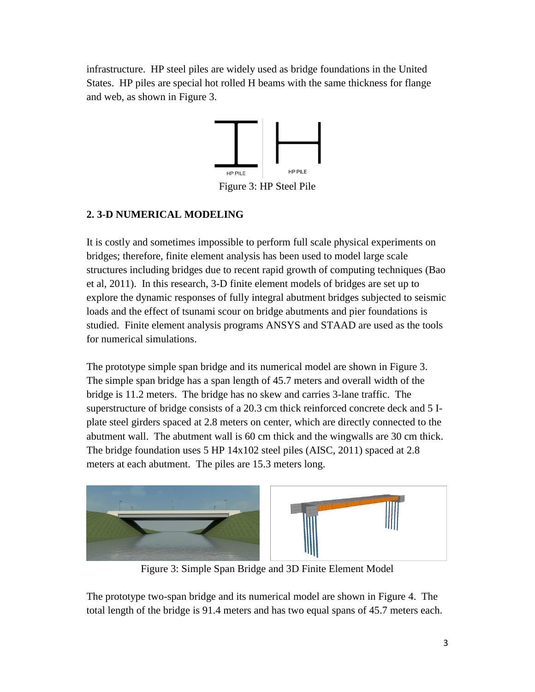infrastructure. HP steel piles are widely used as bridge foundations in the United States. HP piles are special hot rolled H beams with the same thickness for flange and web, as shown in Figure 3.



Figure 3: HP Steel Pile

# **2. 3-D NUMERICAL MODELING**

It is costly and sometimes impossible to perform full scale physical experiments on bridges; therefore, finite element analysis has been used to model large scale structures including bridges due to recent rapid growth of computing techniques (Bao et al, 2011). In this research, 3-D finite element models of bridges are set up to explore the dynamic responses of fully integral abutment bridges subjected to seismic loads and the effect of tsunami scour on bridge abutments and pier foundations is studied. Finite element analysis programs ANSYS and STAAD are used as the tools for numerical simulations.

The prototype simple span bridge and its numerical model are shown in Figure 3. The simple span bridge has a span length of 45.7 meters and overall width of the bridge is 11.2 meters. The bridge has no skew and carries 3-lane traffic. The superstructure of bridge consists of a 20.3 cm thick reinforced concrete deck and 5 Iplate steel girders spaced at 2.8 meters on center, which are directly connected to the abutment wall. The abutment wall is 60 cm thick and the wingwalls are 30 cm thick. The bridge foundation uses 5 HP 14x102 steel piles (AISC, 2011) spaced at 2.8 meters at each abutment. The piles are 15.3 meters long.



Figure 3: Simple Span Bridge and 3D Finite Element Model

The prototype two-span bridge and its numerical model are shown in Figure 4. The total length of the bridge is 91.4 meters and has two equal spans of 45.7 meters each.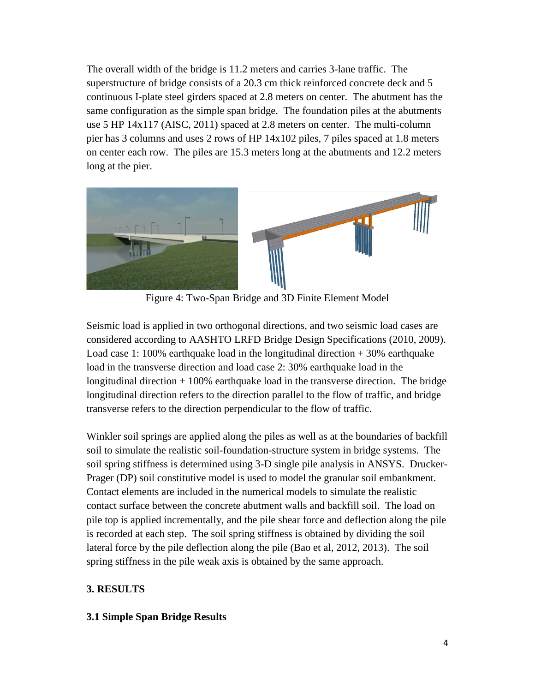The overall width of the bridge is 11.2 meters and carries 3-lane traffic. The superstructure of bridge consists of a 20.3 cm thick reinforced concrete deck and 5 continuous I-plate steel girders spaced at 2.8 meters on center. The abutment has the same configuration as the simple span bridge. The foundation piles at the abutments use 5 HP 14x117 (AISC, 2011) spaced at 2.8 meters on center. The multi-column pier has 3 columns and uses 2 rows of HP 14x102 piles, 7 piles spaced at 1.8 meters on center each row. The piles are 15.3 meters long at the abutments and 12.2 meters long at the pier.



Figure 4: Two-Span Bridge and 3D Finite Element Model

Seismic load is applied in two orthogonal directions, and two seismic load cases are considered according to AASHTO LRFD Bridge Design Specifications (2010, 2009). Load case 1: 100% earthquake load in the longitudinal direction  $+30%$  earthquake load in the transverse direction and load case 2: 30% earthquake load in the longitudinal direction + 100% earthquake load in the transverse direction. The bridge longitudinal direction refers to the direction parallel to the flow of traffic, and bridge transverse refers to the direction perpendicular to the flow of traffic.

Winkler soil springs are applied along the piles as well as at the boundaries of backfill soil to simulate the realistic soil-foundation-structure system in bridge systems. The soil spring stiffness is determined using 3-D single pile analysis in ANSYS. Drucker-Prager (DP) soil constitutive model is used to model the granular soil embankment. Contact elements are included in the numerical models to simulate the realistic contact surface between the concrete abutment walls and backfill soil. The load on pile top is applied incrementally, and the pile shear force and deflection along the pile is recorded at each step. The soil spring stiffness is obtained by dividing the soil lateral force by the pile deflection along the pile (Bao et al, 2012, 2013). The soil spring stiffness in the pile weak axis is obtained by the same approach.

# **3. RESULTS**

### **3.1 Simple Span Bridge Results**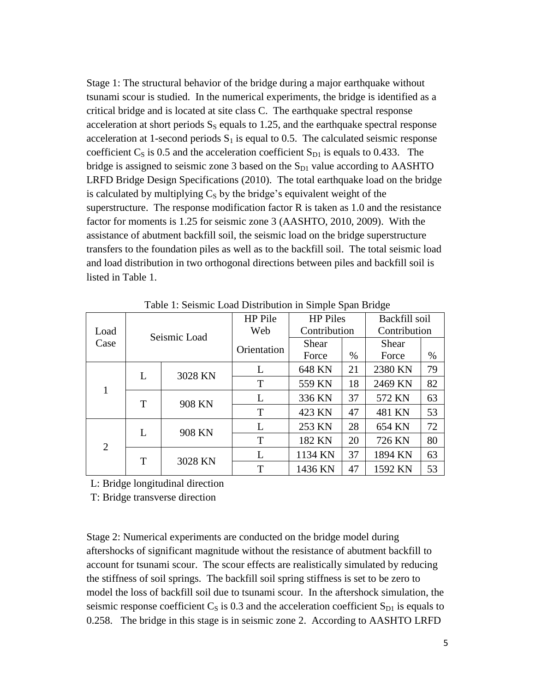Stage 1: The structural behavior of the bridge during a major earthquake without tsunami scour is studied. In the numerical experiments, the bridge is identified as a critical bridge and is located at site class C. The earthquake spectral response acceleration at short periods  $S_s$  equals to 1.25, and the earthquake spectral response acceleration at 1-second periods  $S_1$  is equal to 0.5. The calculated seismic response coefficient  $C_S$  is 0.5 and the acceleration coefficient  $S_{D1}$  is equals to 0.433. The bridge is assigned to seismic zone 3 based on the  $S_{D1}$  value according to AASHTO LRFD Bridge Design Specifications (2010). The total earthquake load on the bridge is calculated by multiplying  $C<sub>S</sub>$  by the bridge's equivalent weight of the superstructure. The response modification factor R is taken as 1.0 and the resistance factor for moments is 1.25 for seismic zone 3 (AASHTO, 2010, 2009). With the assistance of abutment backfill soil, the seismic load on the bridge superstructure transfers to the foundation piles as well as to the backfill soil. The total seismic load and load distribution in two orthogonal directions between piles and backfill soil is listed in Table 1.

|                |   |              | HP Pile     | <b>HP</b> Piles |      | Backfill soil |      |  |
|----------------|---|--------------|-------------|-----------------|------|---------------|------|--|
| Load           |   | Seismic Load | Web         | Contribution    |      | Contribution  |      |  |
| Case           |   |              | Orientation | Shear           |      | Shear         |      |  |
|                |   |              |             | Force           | $\%$ | Force         | $\%$ |  |
| 1              | L | 3028 KN      | L           | 648 KN          | 21   | 2380 KN       | 79   |  |
|                |   |              | T           | 559 KN          | 18   | 2469 KN       | 82   |  |
|                | T | 908 KN       | L           | 336 KN          | 37   | 572 KN        | 63   |  |
|                |   |              | T           | 423 KN          | 47   | 481 KN        | 53   |  |
| $\overline{2}$ | L | 908 KN       | L           | 253 KN          | 28   | 654 KN        | 72   |  |
|                |   |              | Т           | 182 KN          | 20   | 726 KN        | 80   |  |
|                | T | 3028 KN      | L           | 1134 KN         | 37   | 1894 KN       | 63   |  |
|                |   |              | T           | 1436 KN         | 47   | 1592 KN       | 53   |  |

Table 1: Seismic Load Distribution in Simple Span Bridge

L: Bridge longitudinal direction

T: Bridge transverse direction

Stage 2: Numerical experiments are conducted on the bridge model during aftershocks of significant magnitude without the resistance of abutment backfill to account for tsunami scour. The scour effects are realistically simulated by reducing the stiffness of soil springs. The backfill soil spring stiffness is set to be zero to model the loss of backfill soil due to tsunami scour. In the aftershock simulation, the seismic response coefficient  $C_S$  is 0.3 and the acceleration coefficient  $S_{D1}$  is equals to 0.258. The bridge in this stage is in seismic zone 2. According to AASHTO LRFD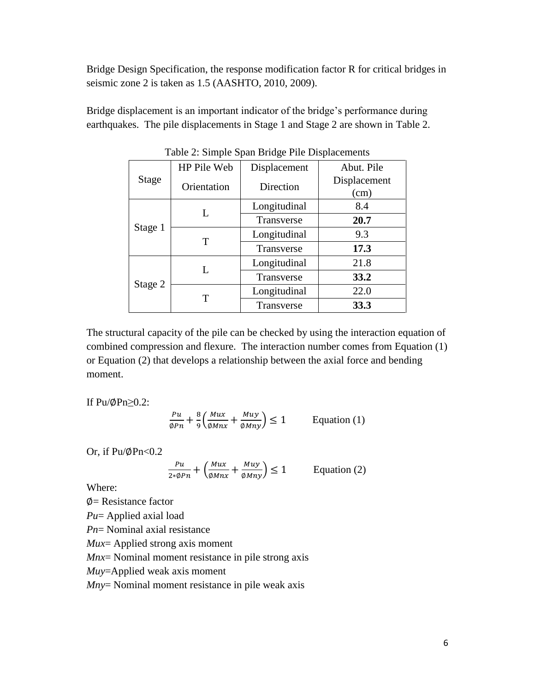Bridge Design Specification, the response modification factor R for critical bridges in seismic zone 2 is taken as 1.5 (AASHTO, 2010, 2009).

Bridge displacement is an important indicator of the bridge's performance during earthquakes. The pile displacements in Stage 1 and Stage 2 are shown in Table 2.

|              | HP Pile Web | Displacement | Abut. Pile           |
|--------------|-------------|--------------|----------------------|
| <b>Stage</b> | Orientation | Direction    | Displacement<br>(cm) |
|              | L           | Longitudinal | 8.4                  |
| Stage 1      |             | Transverse   | 20.7                 |
|              | Т           | Longitudinal | 9.3                  |
|              |             | Transverse   | 17.3                 |
| Stage 2      | L           | Longitudinal | 21.8                 |
|              |             | Transverse   | 33.2                 |
|              | т           | Longitudinal | 22.0                 |
|              |             | Transverse   | 33.3                 |

Table 2: Simple Span Bridge Pile Displacements

The structural capacity of the pile can be checked by using the interaction equation of combined compression and flexure. The interaction number comes from Equation (1) or Equation (2) that develops a relationship between the axial force and bending moment.

If  $Pu/\phi Pn \geq 0.2$ :

$$
\frac{Pu}{\varphi Pn} + \frac{8}{9} \left( \frac{Mux}{\varphi Mnx} + \frac{Muy}{\varphi Mny} \right) \le 1
$$
 Equation (1)

Or, if  $Pu/\phi Pn<0.2$ 

$$
\frac{Pu}{2*\phi Pn} + \left(\frac{Mux}{\phi Mnx} + \frac{Muy}{\phi Mny}\right) \le 1
$$
 Equation (2)

Where:

 $\Phi$  = Resistance factor

*Pu*= Applied axial load

*Pn*= Nominal axial resistance

*Mux*= Applied strong axis moment

*Mnx*= Nominal moment resistance in pile strong axis

*Muy*=Applied weak axis moment

*Mny*= Nominal moment resistance in pile weak axis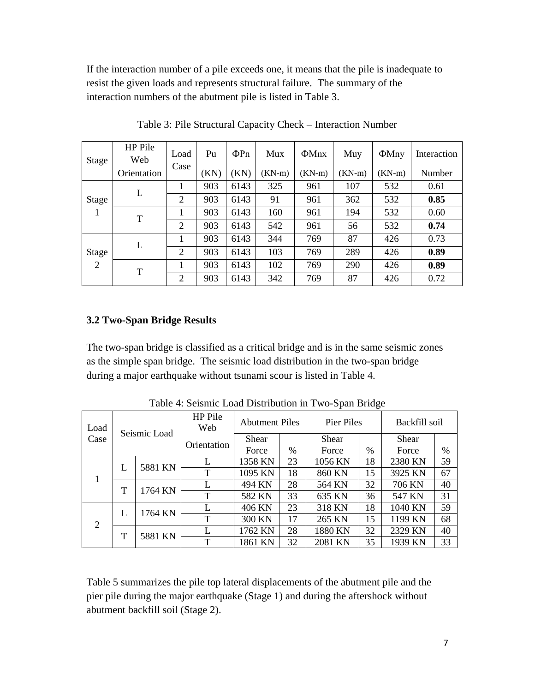If the interaction number of a pile exceeds one, it means that the pile is inadequate to resist the given loads and represents structural failure. The summary of the interaction numbers of the abutment pile is listed in Table 3.

| Stage                   | HP Pile<br>Web | Load           | Pu   | $\Phi Pn$ | Mux      | $\Phi$ Mnx | Muy      | $\Phi$ Mny | Interaction |
|-------------------------|----------------|----------------|------|-----------|----------|------------|----------|------------|-------------|
|                         | Orientation    | Case           | (KN) | (KN)      | $(KN-m)$ | $(KN-m)$   | $(KN-m)$ | $(KN-m)$   | Number      |
| Stage<br>1              | L              |                | 903  | 6143      | 325      | 961        | 107      | 532        | 0.61        |
|                         |                | $\overline{2}$ | 903  | 6143      | 91       | 961        | 362      | 532        | 0.85        |
|                         | T              | 1              | 903  | 6143      | 160      | 961        | 194      | 532        | 0.60        |
|                         |                | 2              | 903  | 6143      | 542      | 961        | 56       | 532        | 0.74        |
|                         | L              |                | 903  | 6143      | 344      | 769        | 87       | 426        | 0.73        |
| Stage<br>$\overline{2}$ |                | 2              | 903  | 6143      | 103      | 769        | 289      | 426        | 0.89        |
|                         | T              |                | 903  | 6143      | 102      | 769        | 290      | 426        | 0.89        |
|                         |                | 2              | 903  | 6143      | 342      | 769        | 87       | 426        | 0.72        |

Table 3: Pile Structural Capacity Check – Interaction Number

### **3.2 Two-Span Bridge Results**

The two-span bridge is classified as a critical bridge and is in the same seismic zones as the simple span bridge. The seismic load distribution in the two-span bridge during a major earthquake without tsunami scour is listed in Table 4.

| Load   | Seismic Load |         | <b>HP</b> Pile<br>Web | <b>Abutment Piles</b> |      | Pier Piles |               | Backfill soil |      |
|--------|--------------|---------|-----------------------|-----------------------|------|------------|---------------|---------------|------|
| Case   |              |         | Orientation           | Shear                 |      | Shear      |               | Shear         |      |
|        |              |         |                       | Force                 | $\%$ | Force      | $\frac{0}{0}$ | Force         | $\%$ |
|        |              | 5881 KN |                       | 1358 KN               | 23   | 1056 KN    | 18            | 2380 KN       | 59   |
| L<br>т |              |         | T                     | 1095 KN               | 18   | 860 KN     | 15            | 3925 KN       | 67   |
|        |              | 1764 KN |                       | 494 KN                | 28   | 564 KN     | 32            | 706 KN        | 40   |
|        |              |         | T                     | 582 KN                | 33   | 635 KN     | 36            | 547 KN        | 31   |
|        | L            | 1764 KN |                       | 406 KN                | 23   | 318 KN     | 18            | 1040 KN       | 59   |
| 2      |              |         | Т                     | 300 KN                | 17   | 265 KN     | 15            | 1199 KN       | 68   |
|        | T            | 5881 KN |                       | 1762 KN               | 28   | 1880 KN    | 32            | 2329 KN       | 40   |
|        |              |         | T                     | 1861 KN               | 32   | 2081 KN    | 35            | 1939 KN       | 33   |

Table 4: Seismic Load Distribution in Two-Span Bridge

Table 5 summarizes the pile top lateral displacements of the abutment pile and the pier pile during the major earthquake (Stage 1) and during the aftershock without abutment backfill soil (Stage 2).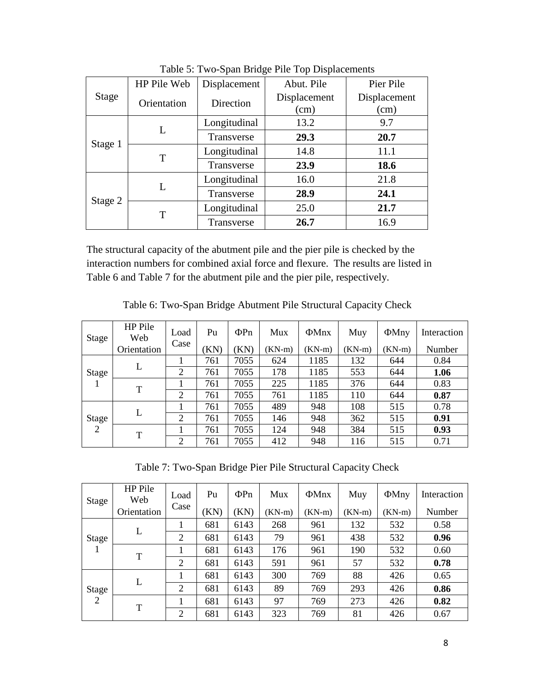|         | HP Pile Web | Displacement | Abut. Pile   | Pier Pile    |  |
|---------|-------------|--------------|--------------|--------------|--|
| Stage   | Orientation | Direction    | Displacement | Displacement |  |
|         |             |              | (cm)         | (cm)         |  |
| Stage 1 | L           | Longitudinal | 13.2         | 9.7          |  |
|         |             | Transverse   | 29.3         | 20.7         |  |
|         | T           | Longitudinal | 14.8         | 11.1         |  |
|         |             | Transverse   | 23.9         | 18.6         |  |
|         | L           | Longitudinal | 16.0         | 21.8         |  |
| Stage 2 |             | Transverse   | 28.9         | 24.1         |  |
|         | T           | Longitudinal | 25.0         | 21.7         |  |
|         |             | Transverse   | 26.7         | 16.9         |  |

Table 5: Two-Span Bridge Pile Top Displacements

The structural capacity of the abutment pile and the pier pile is checked by the interaction numbers for combined axial force and flexure. The results are listed in Table 6 and Table 7 for the abutment pile and the pier pile, respectively.

| Stage | HP Pile<br>Web | $Load \mid$ | Pu | $\Phi$ Pn | Mux | $\Phi$ Mnx | Muy |                                                            | $\Phi$ Mny   Interaction |
|-------|----------------|-------------|----|-----------|-----|------------|-----|------------------------------------------------------------|--------------------------|
|       | Orientation    | Case        |    |           |     |            |     | $(KN)$ $(KN)$ $(KN-m)$ $(KN-m)$ $(KN-m)$ $(KN-m)$ $(KN-m)$ | Number                   |
|       |                |             |    |           |     |            |     |                                                            |                          |

Table 6: Two-Span Bridge Abutment Pile Structural Capacity Check

| 11 UU       |               |      |      |        |          |          |          |        |
|-------------|---------------|------|------|--------|----------|----------|----------|--------|
| Orientation |               | (KN) | KN)  | (KN-m) | $(KN-m)$ | $(KN-m)$ | $(KN-m)$ | Number |
| L           |               | 761  | 7055 | 624    | 1185     | 132      | 644      | 0.84   |
|             | $\mathcal{D}$ | 761  | 7055 | 178    | 1185     | 553      | 644      | 1.06   |
| T           |               | 761  | 7055 | 225    | 1185     | 376      | 644      | 0.83   |
|             | 2             | 761  | 7055 | 761    | 1185     | 110      | 644      | 0.87   |
| L           |               | 761  | 7055 | 489    | 948      | 108      | 515      | 0.78   |
|             | ∍             | 761  | 7055 | 146    | 948      | 362      | 515      | 0.91   |
|             |               | 761  | 7055 | 124    | 948      | 384      | 515      | 0.93   |
|             | $\gamma$      | 761  | 7055 | 412    | 948      | 116      | 515      | 0.71   |
|             | T             | Case |      |        |          |          |          |        |

Table 7: Two-Span Bridge Pier Pile Structural Capacity Check

| Stage                   | HP Pile<br>Web | Load           | Pu   | $\Phi Pn$ | Mux      | $\Phi$ Mnx | Muy      | $\Phi$ Mny | Interaction |
|-------------------------|----------------|----------------|------|-----------|----------|------------|----------|------------|-------------|
|                         | Orientation    | Case           | (KN) | (KN)      | $(KN-m)$ | (KN-m)     | $(KN-m)$ | $(KN-m)$   | Number      |
|                         |                | 1              | 681  | 6143      | 268      | 961        | 132      | 532        | 0.58        |
| Stage                   |                | $\overline{2}$ | 681  | 6143      | 79       | 961        | 438      | 532        | 0.96        |
|                         | T              |                | 681  | 6143      | 176      | 961        | 190      | 532        | 0.60        |
|                         |                | $\overline{2}$ | 681  | 6143      | 591      | 961        | 57       | 532        | 0.78        |
|                         | L              |                | 681  | 6143      | 300      | 769        | 88       | 426        | 0.65        |
| Stage<br>$\overline{2}$ |                | 2              | 681  | 6143      | 89       | 769        | 293      | 426        | 0.86        |
|                         | T              |                | 681  | 6143      | 97       | 769        | 273      | 426        | 0.82        |
|                         |                | $\overline{2}$ | 681  | 6143      | 323      | 769        | 81       | 426        | 0.67        |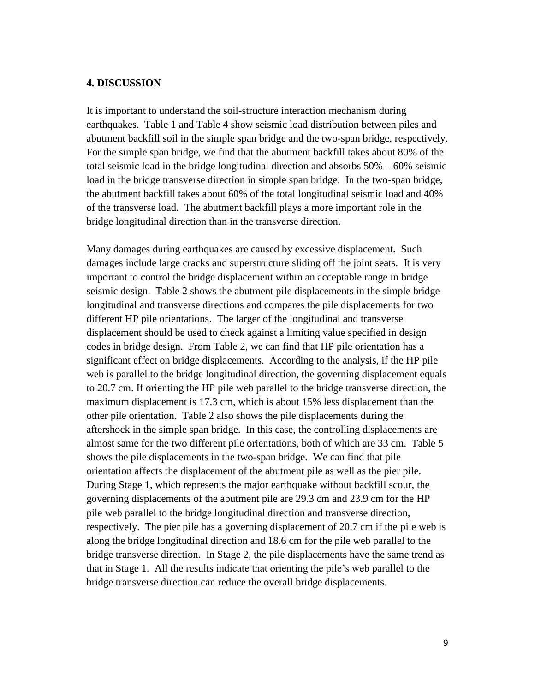#### **4. DISCUSSION**

It is important to understand the soil-structure interaction mechanism during earthquakes. Table 1 and Table 4 show seismic load distribution between piles and abutment backfill soil in the simple span bridge and the two-span bridge, respectively. For the simple span bridge, we find that the abutment backfill takes about 80% of the total seismic load in the bridge longitudinal direction and absorbs 50% – 60% seismic load in the bridge transverse direction in simple span bridge. In the two-span bridge, the abutment backfill takes about 60% of the total longitudinal seismic load and 40% of the transverse load. The abutment backfill plays a more important role in the bridge longitudinal direction than in the transverse direction.

Many damages during earthquakes are caused by excessive displacement. Such damages include large cracks and superstructure sliding off the joint seats. It is very important to control the bridge displacement within an acceptable range in bridge seismic design. Table 2 shows the abutment pile displacements in the simple bridge longitudinal and transverse directions and compares the pile displacements for two different HP pile orientations. The larger of the longitudinal and transverse displacement should be used to check against a limiting value specified in design codes in bridge design. From Table 2, we can find that HP pile orientation has a significant effect on bridge displacements. According to the analysis, if the HP pile web is parallel to the bridge longitudinal direction, the governing displacement equals to 20.7 cm. If orienting the HP pile web parallel to the bridge transverse direction, the maximum displacement is 17.3 cm, which is about 15% less displacement than the other pile orientation. Table 2 also shows the pile displacements during the aftershock in the simple span bridge. In this case, the controlling displacements are almost same for the two different pile orientations, both of which are 33 cm. Table 5 shows the pile displacements in the two-span bridge. We can find that pile orientation affects the displacement of the abutment pile as well as the pier pile. During Stage 1, which represents the major earthquake without backfill scour, the governing displacements of the abutment pile are 29.3 cm and 23.9 cm for the HP pile web parallel to the bridge longitudinal direction and transverse direction, respectively. The pier pile has a governing displacement of 20.7 cm if the pile web is along the bridge longitudinal direction and 18.6 cm for the pile web parallel to the bridge transverse direction. In Stage 2, the pile displacements have the same trend as that in Stage 1. All the results indicate that orienting the pile's web parallel to the bridge transverse direction can reduce the overall bridge displacements.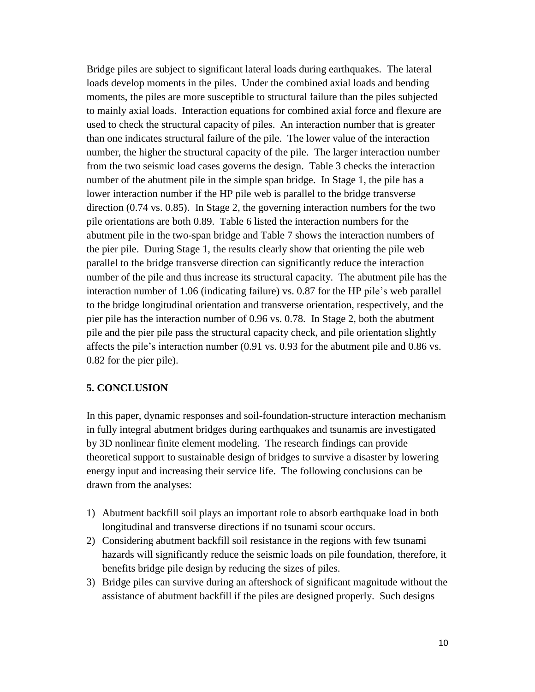Bridge piles are subject to significant lateral loads during earthquakes. The lateral loads develop moments in the piles. Under the combined axial loads and bending moments, the piles are more susceptible to structural failure than the piles subjected to mainly axial loads. Interaction equations for combined axial force and flexure are used to check the structural capacity of piles. An interaction number that is greater than one indicates structural failure of the pile. The lower value of the interaction number, the higher the structural capacity of the pile. The larger interaction number from the two seismic load cases governs the design. Table 3 checks the interaction number of the abutment pile in the simple span bridge. In Stage 1, the pile has a lower interaction number if the HP pile web is parallel to the bridge transverse direction (0.74 vs. 0.85). In Stage 2, the governing interaction numbers for the two pile orientations are both 0.89. Table 6 listed the interaction numbers for the abutment pile in the two-span bridge and Table 7 shows the interaction numbers of the pier pile. During Stage 1, the results clearly show that orienting the pile web parallel to the bridge transverse direction can significantly reduce the interaction number of the pile and thus increase its structural capacity. The abutment pile has the interaction number of 1.06 (indicating failure) vs. 0.87 for the HP pile's web parallel to the bridge longitudinal orientation and transverse orientation, respectively, and the pier pile has the interaction number of 0.96 vs. 0.78. In Stage 2, both the abutment pile and the pier pile pass the structural capacity check, and pile orientation slightly affects the pile's interaction number (0.91 vs. 0.93 for the abutment pile and 0.86 vs. 0.82 for the pier pile).

#### **5. CONCLUSION**

In this paper, dynamic responses and soil-foundation-structure interaction mechanism in fully integral abutment bridges during earthquakes and tsunamis are investigated by 3D nonlinear finite element modeling. The research findings can provide theoretical support to sustainable design of bridges to survive a disaster by lowering energy input and increasing their service life. The following conclusions can be drawn from the analyses:

- 1) Abutment backfill soil plays an important role to absorb earthquake load in both longitudinal and transverse directions if no tsunami scour occurs.
- 2) Considering abutment backfill soil resistance in the regions with few tsunami hazards will significantly reduce the seismic loads on pile foundation, therefore, it benefits bridge pile design by reducing the sizes of piles.
- 3) Bridge piles can survive during an aftershock of significant magnitude without the assistance of abutment backfill if the piles are designed properly. Such designs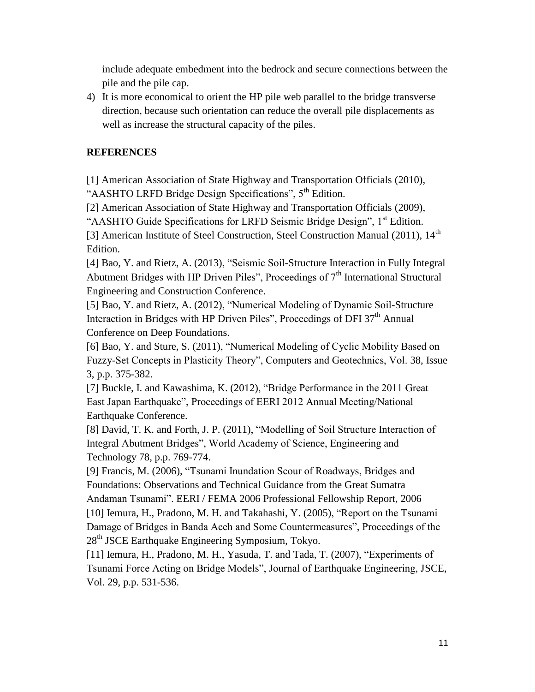include adequate embedment into the bedrock and secure connections between the pile and the pile cap.

4) It is more economical to orient the HP pile web parallel to the bridge transverse direction, because such orientation can reduce the overall pile displacements as well as increase the structural capacity of the piles.

### **REFERENCES**

[1] American Association of State Highway and Transportation Officials (2010), "AASHTO LRFD Bridge Design Specifications", 5<sup>th</sup> Edition.

[2] American Association of State Highway and Transportation Officials (2009),

"AASHTO Guide Specifications for LRFD Seismic Bridge Design", 1<sup>st</sup> Edition.

[3] American Institute of Steel Construction, Steel Construction Manual (2011), 14<sup>th</sup> Edition.

[4] Bao, Y. and Rietz, A. (2013), "Seismic Soil-Structure Interaction in Fully Integral Abutment Bridges with HP Driven Piles", Proceedings of 7<sup>th</sup> International Structural Engineering and Construction Conference.

[5] Bao, Y. and Rietz, A. (2012), "Numerical Modeling of Dynamic Soil-Structure Interaction in Bridges with HP Driven Piles", Proceedings of DFI  $37<sup>th</sup>$  Annual Conference on Deep Foundations.

[6] Bao, Y. and Sture, S. (2011), "Numerical Modeling of Cyclic Mobility Based on Fuzzy-Set Concepts in Plasticity Theory", Computers and Geotechnics, Vol. 38, Issue 3, p.p. 375-382.

[7] Buckle, I. and Kawashima, K. (2012), "Bridge Performance in the 2011 Great East Japan Earthquake", Proceedings of EERI 2012 Annual Meeting/National Earthquake Conference.

[8] David, T. K. and Forth, J. P. (2011), "Modelling of Soil Structure Interaction of Integral Abutment Bridges", World Academy of Science, Engineering and Technology 78, p.p. 769-774.

[9] Francis, M. (2006), "Tsunami Inundation Scour of Roadways, Bridges and Foundations: Observations and Technical Guidance from the Great Sumatra Andaman Tsunami". EERI / FEMA 2006 Professional Fellowship Report, 2006

[10] Iemura, H., Pradono, M. H. and Takahashi, Y. (2005), "Report on the Tsunami Damage of Bridges in Banda Aceh and Some Countermeasures", Proceedings of the  $28<sup>th</sup>$  JSCE Earthquake Engineering Symposium, Tokyo.

[11] Iemura, H., Pradono, M. H., Yasuda, T. and Tada, T. (2007), "Experiments of Tsunami Force Acting on Bridge Models", Journal of Earthquake Engineering, JSCE, Vol. 29, p.p. 531-536.